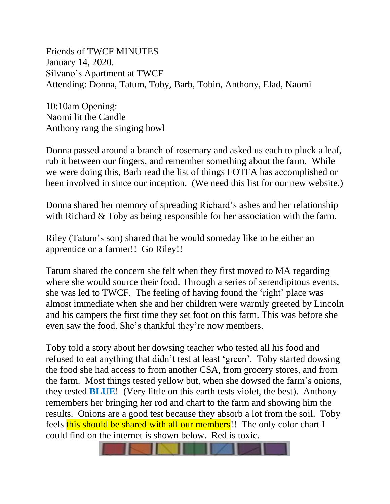Friends of TWCF MINUTES January 14, 2020. Silvano's Apartment at TWCF Attending: Donna, Tatum, Toby, Barb, Tobin, Anthony, Elad, Naomi

10:10am Opening: Naomi lit the Candle Anthony rang the singing bowl

Donna passed around a branch of rosemary and asked us each to pluck a leaf, rub it between our fingers, and remember something about the farm. While we were doing this, Barb read the list of things FOTFA has accomplished or been involved in since our inception. (We need this list for our new website.)

Donna shared her memory of spreading Richard's ashes and her relationship with Richard & Toby as being responsible for her association with the farm.

Riley (Tatum's son) shared that he would someday like to be either an apprentice or a farmer!! Go Riley!!

Tatum shared the concern she felt when they first moved to MA regarding where she would source their food. Through a series of serendipitous events, she was led to TWCF. The feeling of having found the 'right' place was almost immediate when she and her children were warmly greeted by Lincoln and his campers the first time they set foot on this farm. This was before she even saw the food. She's thankful they're now members.

Toby told a story about her dowsing teacher who tested all his food and refused to eat anything that didn't test at least 'green'. Toby started dowsing the food she had access to from another CSA, from grocery stores, and from the farm. Most things tested yellow but, when she dowsed the farm's onions, they tested **BLUE**! (Very little on this earth tests violet, the best). Anthony remembers her bringing her rod and chart to the farm and showing him the results. Onions are a good test because they absorb a lot from the soil. Toby feels this should be shared with all our members!! The only color chart I could find on the internet is shown below. Red is toxic.

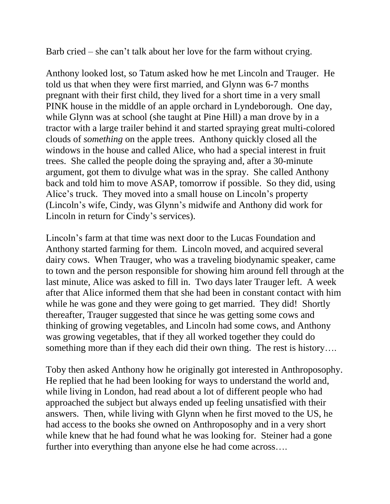Barb cried – she can't talk about her love for the farm without crying.

Anthony looked lost, so Tatum asked how he met Lincoln and Trauger. He told us that when they were first married, and Glynn was 6-7 months pregnant with their first child, they lived for a short time in a very small PINK house in the middle of an apple orchard in Lyndeborough. One day, while Glynn was at school (she taught at Pine Hill) a man drove by in a tractor with a large trailer behind it and started spraying great multi-colored clouds of *something* on the apple trees. Anthony quickly closed all the windows in the house and called Alice, who had a special interest in fruit trees. She called the people doing the spraying and, after a 30-minute argument, got them to divulge what was in the spray. She called Anthony back and told him to move ASAP, tomorrow if possible. So they did, using Alice's truck. They moved into a small house on Lincoln's property (Lincoln's wife, Cindy, was Glynn's midwife and Anthony did work for Lincoln in return for Cindy's services).

Lincoln's farm at that time was next door to the Lucas Foundation and Anthony started farming for them. Lincoln moved, and acquired several dairy cows. When Trauger, who was a traveling biodynamic speaker, came to town and the person responsible for showing him around fell through at the last minute, Alice was asked to fill in. Two days later Trauger left. A week after that Alice informed them that she had been in constant contact with him while he was gone and they were going to get married. They did! Shortly thereafter, Trauger suggested that since he was getting some cows and thinking of growing vegetables, and Lincoln had some cows, and Anthony was growing vegetables, that if they all worked together they could do something more than if they each did their own thing. The rest is history….

Toby then asked Anthony how he originally got interested in Anthroposophy. He replied that he had been looking for ways to understand the world and, while living in London, had read about a lot of different people who had approached the subject but always ended up feeling unsatisfied with their answers. Then, while living with Glynn when he first moved to the US, he had access to the books she owned on Anthroposophy and in a very short while knew that he had found what he was looking for. Steiner had a gone further into everything than anyone else he had come across….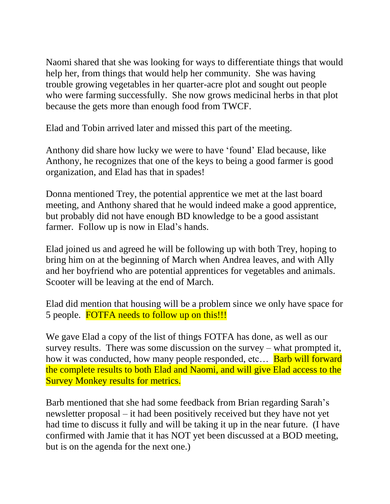Naomi shared that she was looking for ways to differentiate things that would help her, from things that would help her community. She was having trouble growing vegetables in her quarter-acre plot and sought out people who were farming successfully. She now grows medicinal herbs in that plot because the gets more than enough food from TWCF.

Elad and Tobin arrived later and missed this part of the meeting.

Anthony did share how lucky we were to have 'found' Elad because, like Anthony, he recognizes that one of the keys to being a good farmer is good organization, and Elad has that in spades!

Donna mentioned Trey, the potential apprentice we met at the last board meeting, and Anthony shared that he would indeed make a good apprentice, but probably did not have enough BD knowledge to be a good assistant farmer. Follow up is now in Elad's hands.

Elad joined us and agreed he will be following up with both Trey, hoping to bring him on at the beginning of March when Andrea leaves, and with Ally and her boyfriend who are potential apprentices for vegetables and animals. Scooter will be leaving at the end of March.

Elad did mention that housing will be a problem since we only have space for 5 people. FOTFA needs to follow up on this!!!

We gave Elad a copy of the list of things FOTFA has done, as well as our survey results. There was some discussion on the survey – what prompted it, how it was conducted, how many people responded, etc... **Barb will forward** the complete results to both Elad and Naomi, and will give Elad access to the Survey Monkey results for metrics.

Barb mentioned that she had some feedback from Brian regarding Sarah's newsletter proposal – it had been positively received but they have not yet had time to discuss it fully and will be taking it up in the near future. (I have confirmed with Jamie that it has NOT yet been discussed at a BOD meeting, but is on the agenda for the next one.)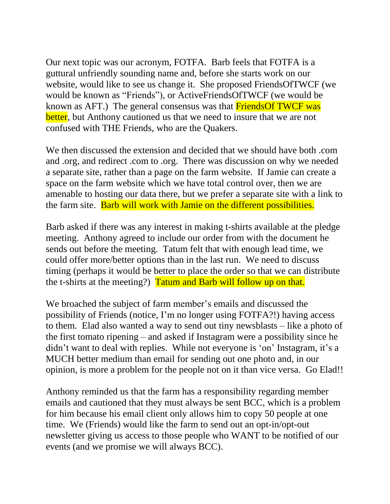Our next topic was our acronym, FOTFA. Barb feels that FOTFA is a guttural unfriendly sounding name and, before she starts work on our website, would like to see us change it. She proposed FriendsOfTWCF (we would be known as "Friends"), or ActiveFriendsOfTWCF (we would be known as AFT.) The general consensus was that **FriendsOf TWCF was** better, but Anthony cautioned us that we need to insure that we are not confused with THE Friends, who are the Quakers.

We then discussed the extension and decided that we should have both .com and .org, and redirect .com to .org. There was discussion on why we needed a separate site, rather than a page on the farm website. If Jamie can create a space on the farm website which we have total control over, then we are amenable to hosting our data there, but we prefer a separate site with a link to the farm site. Barb will work with Jamie on the different possibilities.

Barb asked if there was any interest in making t-shirts available at the pledge meeting. Anthony agreed to include our order from with the document he sends out before the meeting. Tatum felt that with enough lead time, we could offer more/better options than in the last run. We need to discuss timing (perhaps it would be better to place the order so that we can distribute the t-shirts at the meeting?) Tatum and Barb will follow up on that.

We broached the subject of farm member's emails and discussed the possibility of Friends (notice, I'm no longer using FOTFA?!) having access to them. Elad also wanted a way to send out tiny newsblasts – like a photo of the first tomato ripening – and asked if Instagram were a possibility since he didn't want to deal with replies. While not everyone is 'on' Instagram, it's a MUCH better medium than email for sending out one photo and, in our opinion, is more a problem for the people not on it than vice versa. Go Elad!!

Anthony reminded us that the farm has a responsibility regarding member emails and cautioned that they must always be sent BCC, which is a problem for him because his email client only allows him to copy 50 people at one time. We (Friends) would like the farm to send out an opt-in/opt-out newsletter giving us access to those people who WANT to be notified of our events (and we promise we will always BCC).